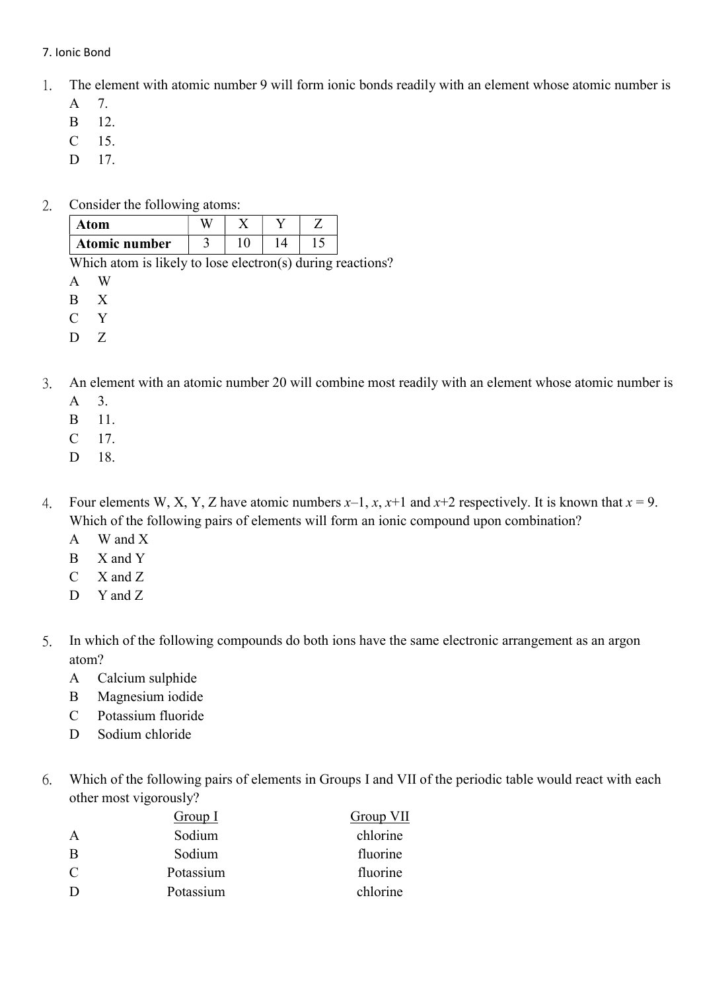## 7. Ionic Bond

- 1. The element with atomic number 9 will form ionic bonds readily with an element whose atomic number is
	- A 7.
	- B 12.
	- C 15.
	- D 17.
- 2. Consider the following atoms:

| Atom          |  |  |
|---------------|--|--|
| Atomic number |  |  |

Which atom is likely to lose electron(s) during reactions?

- A W
- B X
- C Y
- D Z
- 3. An element with an atomic number 20 will combine most readily with an element whose atomic number is
	- A 3.
	- B 11.
	- C 17.
	- D 18.
- 4. Four elements W, X, Y, Z have atomic numbers  $x-1$ ,  $x$ ,  $x+1$  and  $x+2$  respectively. It is known that  $x = 9$ . Which of the following pairs of elements will form an ionic compound upon combination?
	- A W and X
	- B X and Y
	- C X and Z
	- D Y and Z
- 5. In which of the following compounds do both ions have the same electronic arrangement as an argon atom?
	- A Calcium sulphide
	- B Magnesium iodide
	- C Potassium fluoride
	- D Sodium chloride
- 6. Which of the following pairs of elements in Groups I and VII of the periodic table would react with each other most vigorously?

|   | Group I   | Group VII |
|---|-----------|-----------|
| A | Sodium    | chlorine  |
| B | Sodium    | fluorine  |
| C | Potassium | fluorine  |
| Ð | Potassium | chlorine  |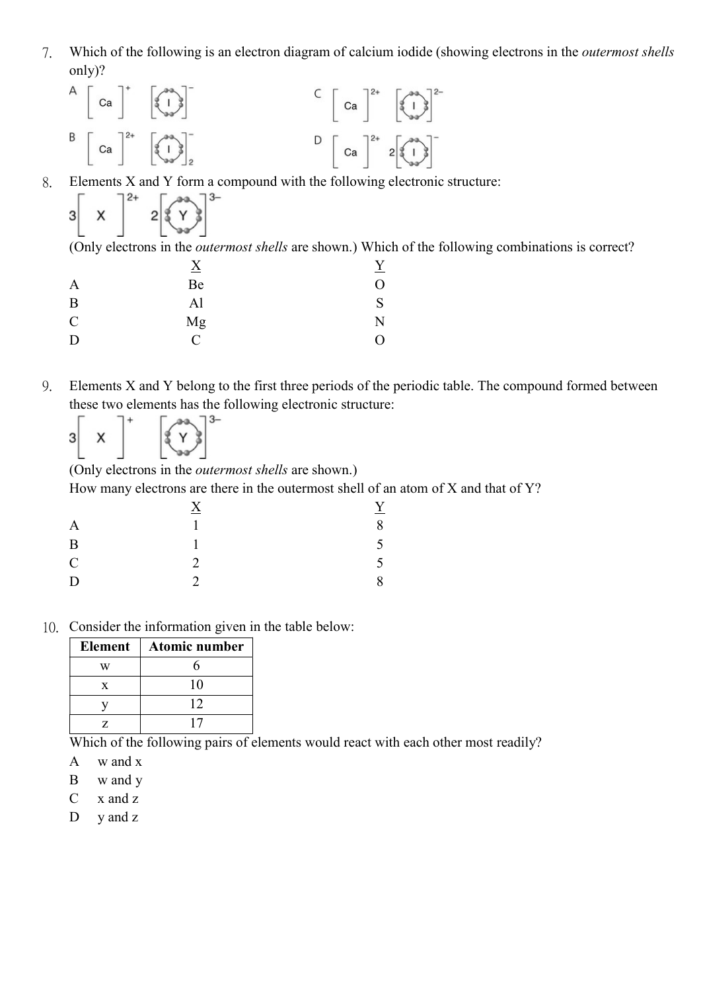7. Which of the following is an electron diagram of calcium iodide (showing electrons in the outermost shells only)?

$$
A \begin{bmatrix} ca \end{bmatrix}^{\dagger} \begin{bmatrix} a \\ b \end{bmatrix}^{\dagger}
$$
  

$$
B \begin{bmatrix} ca \end{bmatrix}^{2+} \begin{bmatrix} a \\ b \end{bmatrix}^{\dagger}
$$
  

$$
B \begin{bmatrix} ca \end{bmatrix}^{2+} \begin{bmatrix} a \\ b \end{bmatrix}^{\dagger}
$$
  

$$
C \begin{bmatrix} ca \end{bmatrix}^{2+} \begin{bmatrix} a \\ c \end{bmatrix}^{\dagger}
$$

8. Elements X and Y form a compound with the following electronic structure:

| 31 |  | っ<br>v |  |
|----|--|--------|--|
|----|--|--------|--|

(Only electrons in the outermost shells are shown.) Which of the following combinations is correct?

| $\underline{X}$             |                  |
|-----------------------------|------------------|
| Be                          | $\left( \right)$ |
| Al                          | S                |
| Mg                          | N                |
| $\mathcal{C}_{\mathcal{C}}$ | 0                |
|                             |                  |

9. Elements X and Y belong to the first three periods of the periodic table. The compound formed between these two elements has the following electronic structure:



(Only electrons in the outermost shells are shown.)

How many electrons are there in the outermost shell of an atom of X and that of Y?

| $\bf{A}$ | Y  |
|----------|----|
|          | 8  |
|          | 5  |
| っ        | 5. |
| C        | 8  |
|          |    |

10. Consider the information given in the table below:

| <b>Element</b> | Atomic number |
|----------------|---------------|
|                |               |
| X              | 10            |
|                | 12            |
|                |               |

Which of the following pairs of elements would react with each other most readily?

- A w and x
- B w and y

C x and z

D y and z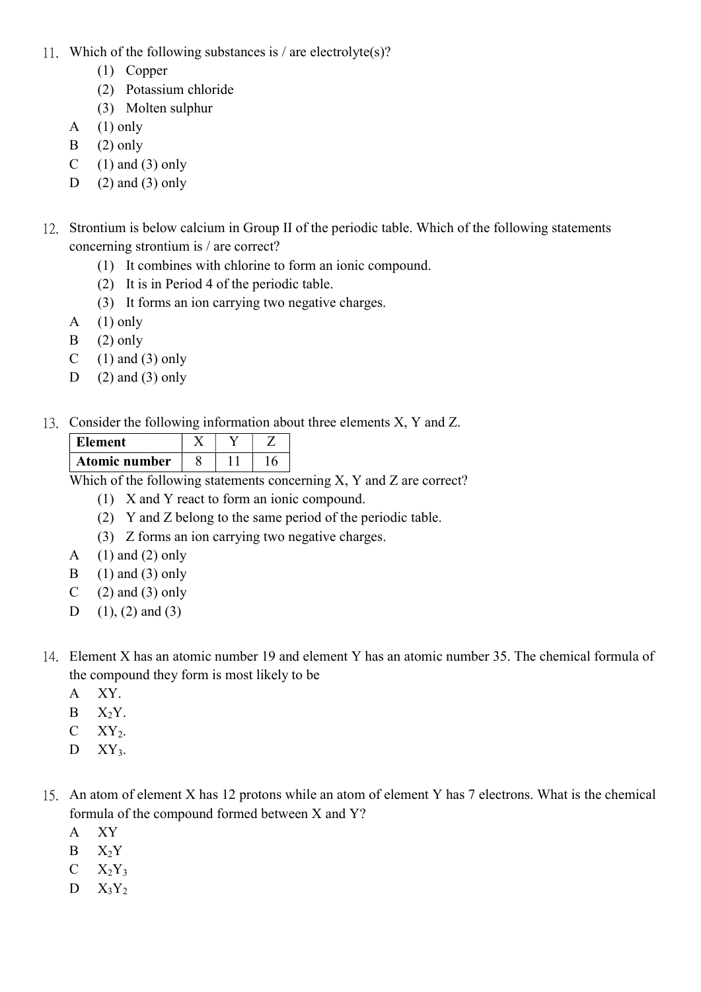- 11. Which of the following substances is / are electrolyte(s)?
	- (1) Copper
	- (2) Potassium chloride
	- (3) Molten sulphur
	- A  $(1)$  only
	- $B$  (2) only
	- C  $(1)$  and  $(3)$  only
	- D  $(2)$  and  $(3)$  only
- 12. Strontium is below calcium in Group II of the periodic table. Which of the following statements concerning strontium is / are correct?
	- (1) It combines with chlorine to form an ionic compound.
	- (2) It is in Period 4 of the periodic table.
	- (3) It forms an ion carrying two negative charges.
	- A  $(1)$  only
	- $B$  (2) only
	- C  $(1)$  and  $(3)$  only
	- D  $(2)$  and  $(3)$  only
- 13. Consider the following information about three elements X, Y and Z.

| Element       |  |  |
|---------------|--|--|
| Atomic number |  |  |

Which of the following statements concerning X, Y and Z are correct?

- (1) X and Y react to form an ionic compound.
- (2) Y and Z belong to the same period of the periodic table.
- (3) Z forms an ion carrying two negative charges.
- A  $(1)$  and  $(2)$  only
- $B \quad (1)$  and  $(3)$  only
- C  $(2)$  and  $(3)$  only
- D  $(1)$ ,  $(2)$  and  $(3)$
- 14. Element X has an atomic number 19 and element Y has an atomic number 35. The chemical formula of the compound they form is most likely to be
	- A XY.
	- $B$   $X_2Y$ .
	- $C$   $XY_2$ .
	- $D$   $XY_3$ .
- 15. An atom of element X has 12 protons while an atom of element Y has 7 electrons. What is the chemical formula of the compound formed between X and Y?
	- A XY
	- $B = X_2Y$
	- $C = X_2Y_3$
	- $D$   $X_3Y_2$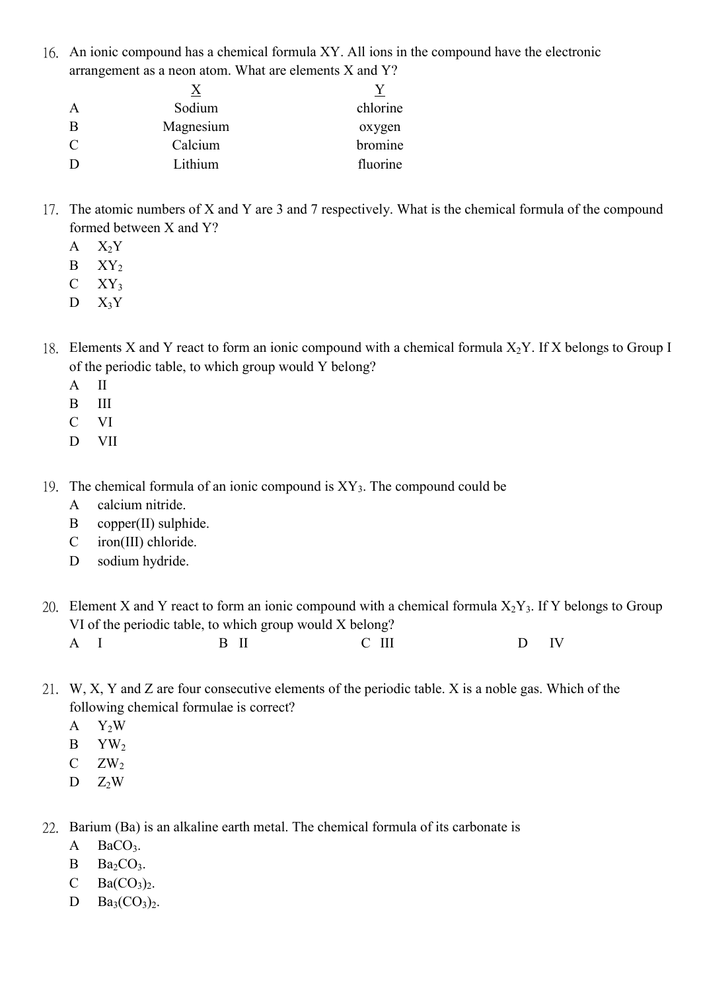16. An ionic compound has a chemical formula XY. All ions in the compound have the electronic arrangement as a neon atom. What are elements X and Y?

| A              | Sodium    | chlorine |
|----------------|-----------|----------|
| B              | Magnesium | oxygen   |
| $\overline{C}$ | Calcium   | bromine  |
| D              | Lithium   | fluorine |

- 17. The atomic numbers of X and Y are 3 and 7 respectively. What is the chemical formula of the compound formed between X and Y?
	- $A$   $X_2Y$
	- $B$   $XY_2$
	- $C$   $XY_3$
	- $D$   $X_3Y$
- 18. Elements X and Y react to form an ionic compound with a chemical formula  $X_2Y$ . If X belongs to Group I of the periodic table, to which group would Y belong?
	- A II
	- B III
	- C VI
	- D VII
- 19. The chemical formula of an ionic compound is  $XY_3$ . The compound could be
	- A calcium nitride.
	- B copper(II) sulphide.
	- C iron(III) chloride.
	- D sodium hydride.

20. Element X and Y react to form an ionic compound with a chemical formula  $X_2Y_3$ . If Y belongs to Group VI of the periodic table, to which group would X belong?

| A | $R$ II<br> | $\mathop{\rm III}$<br>$ -$ | IV |
|---|------------|----------------------------|----|
|   |            |                            |    |

- 21. W, X, Y and Z are four consecutive elements of the periodic table. X is a noble gas. Which of the following chemical formulae is correct?
	- $A$   $Y_2W$
	- $B$   $YW$
	- $C$   $ZW_2$
	- $D \t Z_2W$

22. Barium (Ba) is an alkaline earth metal. The chemical formula of its carbonate is

- $A$  BaCO<sub>3</sub>.
- $B$   $Ba<sub>2</sub>CO<sub>3</sub>$ .
- C  $Ba(CO_3)_2$ .
- $D \text{ Ba}_3(CO_3)_2.$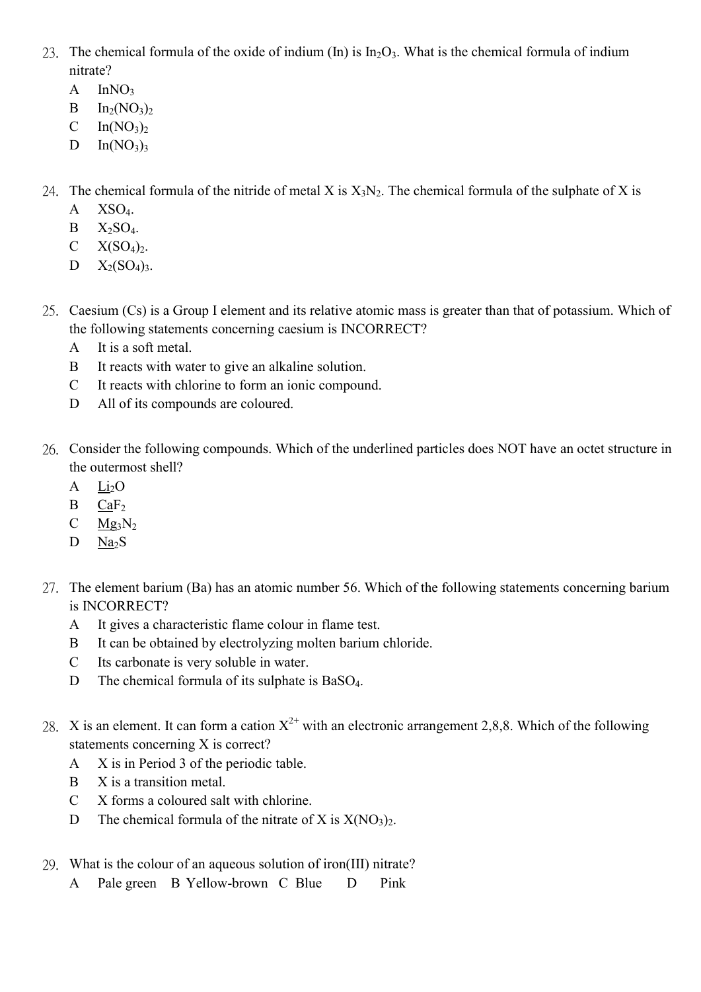- 23. The chemical formula of the oxide of indium (In) is  $In_2O_3$ . What is the chemical formula of indium nitrate?
	- $A$  InNO<sub>3</sub>
	- $B$  In<sub>2</sub>(NO<sub>3</sub>)<sub>2</sub>
	- C  $In(NO<sub>3</sub>)<sub>2</sub>$
	- D  $In(NO<sub>3</sub>)<sub>3</sub>$
- 24. The chemical formula of the nitride of metal X is  $X_3N_2$ . The chemical formula of the sulphate of X is
	- A XSO4.
	- $B$   $X_2SO_4$ .
	- $C$   $X(SO<sub>4</sub>)<sub>2</sub>$ .
	- $D = X_2(SO_4)_{3.}$
- 25. Caesium (Cs) is a Group I element and its relative atomic mass is greater than that of potassium. Which of the following statements concerning caesium is INCORRECT?
	- A It is a soft metal.
	- B It reacts with water to give an alkaline solution.
	- C It reacts with chlorine to form an ionic compound.
	- D All of its compounds are coloured.
- 26. Consider the following compounds. Which of the underlined particles does NOT have an octet structure in the outermost shell?
	- $A$   $Li<sub>2</sub>O$
	- B CaF<sup>2</sup>
	- $C$  Mg<sub>3</sub>N<sub>2</sub>
	- $D$  Na<sub>2</sub>S
- 27. The element barium (Ba) has an atomic number 56. Which of the following statements concerning barium is INCORRECT?
	- A It gives a characteristic flame colour in flame test.
	- B It can be obtained by electrolyzing molten barium chloride.
	- C Its carbonate is very soluble in water.
	- D The chemical formula of its sulphate is BaSO<sub>4</sub>.
- 28. X is an element. It can form a cation  $X^{2+}$  with an electronic arrangement 2,8,8. Which of the following statements concerning X is correct?
	- A X is in Period 3 of the periodic table.
	- B X is a transition metal.
	- C X forms a coloured salt with chlorine.
	- D The chemical formula of the nitrate of X is  $X(NO<sub>3</sub>)<sub>2</sub>$ .
- 29. What is the colour of an aqueous solution of iron(III) nitrate?
	- A Pale green B Yellow-brown C Blue D Pink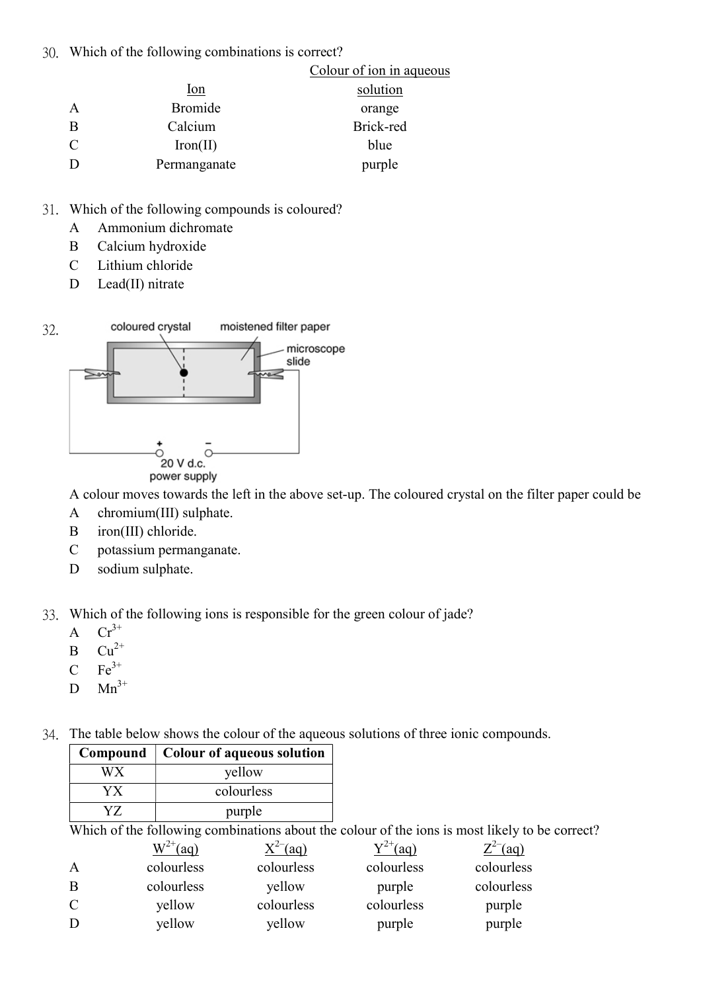30. Which of the following combinations is correct?

|               |                | Colour of ion in aqueous |
|---------------|----------------|--------------------------|
|               | <u>lon</u>     | solution                 |
| $\mathsf{A}$  | <b>Bromide</b> | orange                   |
| B             | Calcium        | Brick-red                |
| $\mathcal{C}$ | Iron(II)       | blue                     |
|               | Permanganate   | purple                   |

- 31. Which of the following compounds is coloured?
	- A Ammonium dichromate
	- B Calcium hydroxide
	- C Lithium chloride
	- D Lead(II) nitrate



A colour moves towards the left in the above set-up. The coloured crystal on the filter paper could be

- A chromium(III) sulphate.
- B iron(III) chloride.
- C potassium permanganate.
- D sodium sulphate.

33. Which of the following ions is responsible for the green colour of jade?

- A  $Cr^{3+}$
- $B$   $Cu^{2+}$
- $C$   $Fe<sup>3+</sup>$
- $D$  Mn<sup>3+</sup>
- 34. The table below shows the colour of the aqueous solutions of three ionic compounds.

| Compound | Colour of aqueous solution |
|----------|----------------------------|
| W X      | yellow                     |
|          | colourless                 |
|          | purple                     |

Which of the following combinations about the colour of the ions is most likely to be correct?

|               | $W^{2+}$ (aq) | $X^{2-}$ (aq) | $5^{72+}$ (aq) | $Z^{2-}$ (aq) |
|---------------|---------------|---------------|----------------|---------------|
| $\mathbf{A}$  | colourless    | colourless    | colourless     | colourless    |
| B             | colourless    | yellow        | purple         | colourless    |
| $\mathcal{C}$ | yellow        | colourless    | colourless     | purple        |
| D             | yellow        | yellow        | purple         | purple        |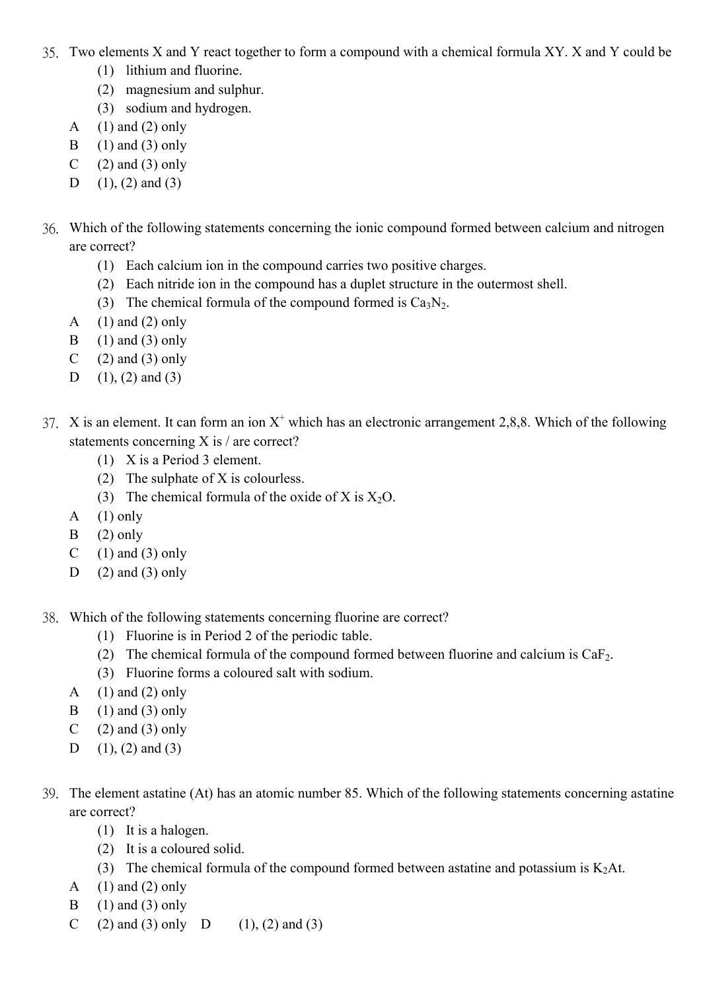- 35. Two elements X and Y react together to form a compound with a chemical formula XY. X and Y could be
	- (1) lithium and fluorine.
	- (2) magnesium and sulphur.
	- (3) sodium and hydrogen.
	- A  $(1)$  and  $(2)$  only
	- B  $(1)$  and  $(3)$  only
	- C  $(2)$  and  $(3)$  only
	- D  $(1)$ ,  $(2)$  and  $(3)$
- 36. Which of the following statements concerning the ionic compound formed between calcium and nitrogen are correct?
	- (1) Each calcium ion in the compound carries two positive charges.
	- (2) Each nitride ion in the compound has a duplet structure in the outermost shell.
	- (3) The chemical formula of the compound formed is  $Ca<sub>3</sub>N<sub>2</sub>$ .
	- A  $(1)$  and  $(2)$  only
	- B  $(1)$  and  $(3)$  only
	- C  $(2)$  and  $(3)$  only
	- D  $(1)$ ,  $(2)$  and  $(3)$
- 37. X is an element. It can form an ion  $X^+$  which has an electronic arrangement 2,8,8. Which of the following statements concerning X is / are correct?
	- (1) X is a Period 3 element.
	- (2) The sulphate of X is colourless.
	- (3) The chemical formula of the oxide of X is  $X_2O$ .
	- A  $(1)$  only
	- $B$  (2) only
	- C  $(1)$  and  $(3)$  only
	- D  $(2)$  and  $(3)$  only
- 38. Which of the following statements concerning fluorine are correct?
	- (1) Fluorine is in Period 2 of the periodic table.
	- (2) The chemical formula of the compound formed between fluorine and calcium is  $CaF<sub>2</sub>$ .
	- (3) Fluorine forms a coloured salt with sodium.
	- A  $(1)$  and  $(2)$  only
	- B  $(1)$  and  $(3)$  only
	- C  $(2)$  and  $(3)$  only
	- D  $(1)$ ,  $(2)$  and  $(3)$
- 39. The element astatine (At) has an atomic number 85. Which of the following statements concerning astatine are correct?
	- (1) It is a halogen.
	- (2) It is a coloured solid.
	- (3) The chemical formula of the compound formed between astatine and potassium is  $K_2At$ .
	- A  $(1)$  and  $(2)$  only
	- B  $(1)$  and  $(3)$  only
	- C (2) and (3) only D (1), (2) and (3)